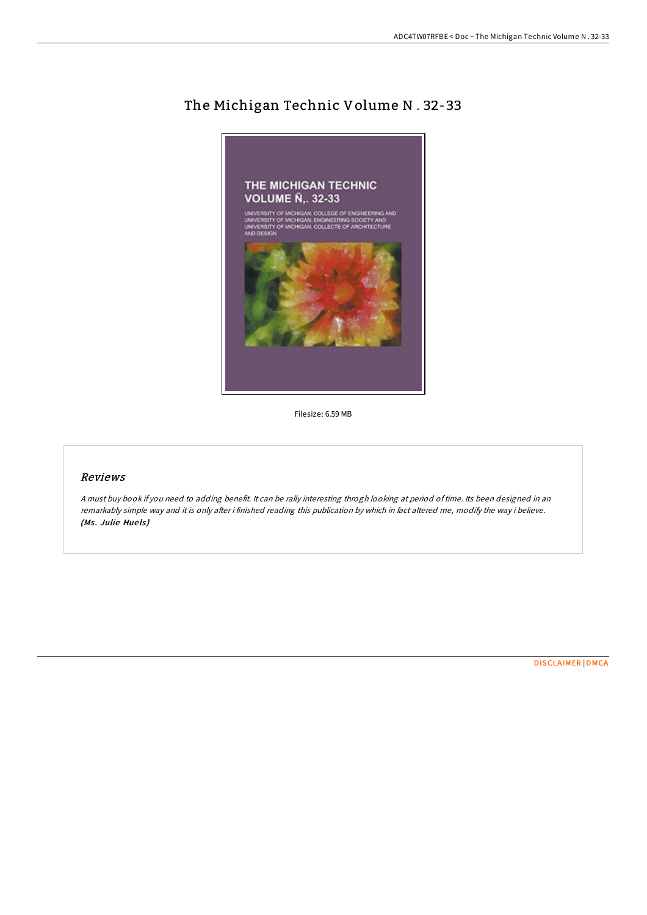

# The Michigan Technic Volume N . 32-33

Filesize: 6.59 MB

## Reviews

<sup>A</sup> must buy book if you need to adding benefit. It can be rally interesting throgh looking at period oftime. Its been designed in an remarkably simple way and it is only after i finished reading this publication by which in fact altered me, modify the way i believe. (Ms. Julie Huels)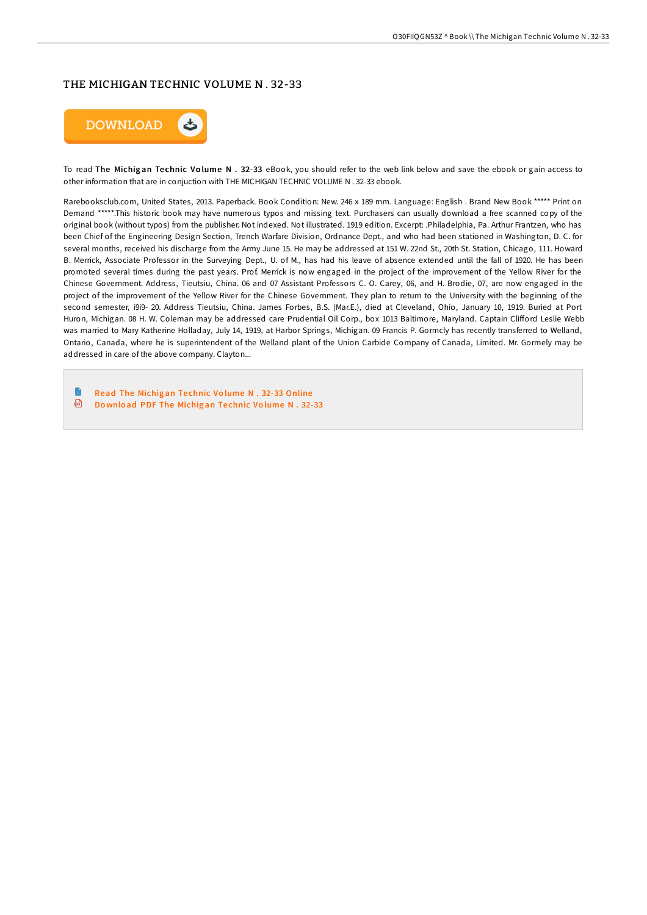#### THE MICHIGAN TECHNIC VOLUME N . 32-33



To read The Michigan Technic Volume N . 32-33 eBook, you should refer to the web link below and save the ebook or gain access to other information that are in conjuction with THE MICHIGAN TECHNIC VOLUME N . 32-33 ebook.

Rarebooksclub.com, United States, 2013. Paperback. Book Condition: New. 246 x 189 mm. Language: English . Brand New Book \*\*\*\*\* Print on Demand \*\*\*\*\*.This historic book may have numerous typos and missing text. Purchasers can usually download a free scanned copy of the original book (without typos) from the publisher. Not indexed. Not illustrated. 1919 edition. Excerpt: .Philadelphia, Pa. Arthur Frantzen, who has been Chief of the Engineering Design Section, Trench Warfare Division, Ordnance Dept., and who had been stationed in Washington, D. C. for several months, received his discharge from the Army June 15. He may be addressed at 151 W. 22nd St., 20th St. Station, Chicago, 111. Howard B. Merrick, Associate Professor in the Surveying Dept., U. of M., has had his leave of absence extended until the fall of 1920. He has been promoted several times during the past years. Prof. Merrick is now engaged in the project of the improvement of the Yellow River for the Chinese Government. Address, Tieutsiu, China. 06 and 07 Assistant Professors C. O. Carey, 06, and H. Brodie, 07, are now engaged in the project of the improvement of the Yellow River for the Chinese Government. They plan to return to the University with the beginning of the second semester, i9i9- 20. Address Tieutsiu, China. James Forbes, B.S. (Mar.E.), died at Cleveland, Ohio, January 10, 1919. Buried at Port Huron, Michigan. 08 H. W. Coleman may be addressed care Prudential Oil Corp., box 1013 Baltimore, Maryland. Captain Clifford Leslie Webb was married to Mary Katherine Holladay, July 14, 1919, at Harbor Springs, Michigan. 09 Francis P. Gormcly has recently transferred to Welland, Ontario, Canada, where he is superintendent of the Welland plant of the Union Carbide Company of Canada, Limited. Mr. Gormely may be addressed in care of the above company. Clayton...

-la Read The Michig an Te chnic Vo lume N . 32-33 [Online](http://almighty24.tech/the-michigan-technic-volume-n-32-33-paperback.html) ⊕ Download PDF The [Michig](http://almighty24.tech/the-michigan-technic-volume-n-32-33-paperback.html)an Technic Volume N. 32-33